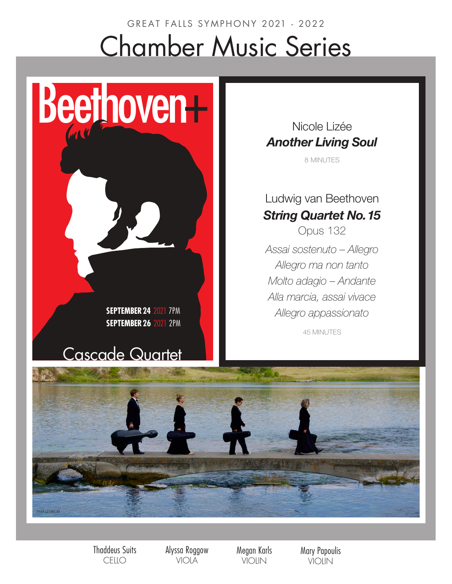# GREAT FALLS SYMPHONY 2021 - 2022 Chamber Music Series

**SEPTEMBER24** 2021 7PM **SEPTEMBER26** 2021 2PM

## Cascade Quartet

Beethoven+

Nicole Lizée *Another Living Soul*

8 MINUTES

Ludwig van Beethoven *String Quartet No. 15* Opus 132 *Assai sostenuto – Allegro Allegro ma non tanto Molto adagio – Andante Alla marcia, assai vivace Allegro appassionato*

45 MINUTES



Thaddeus Suits **CELLO** 

Alyssa Roggow VIOLA

Megan Karls VIOLIN

Mary Papoulis VIOLIN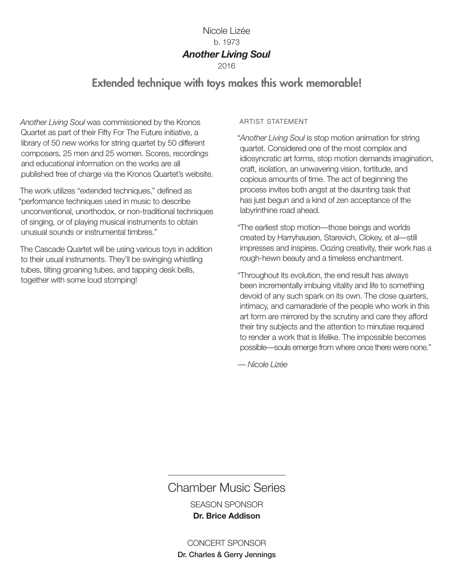## Nicole Lizée b. 1973 *Another Living Soul*

2016

## Extended technique with toys makes this work memorable!

*Another Living Soul* was commissioned by the Kronos Quartet as part of their Fifty For The Future initiative, a library of 50 new works for string quartet by 50 different composers, 25 men and 25 women. Scores, recordings and educational information on the works are all published free of charge via the Kronos Quartet's website.

The work utilizes "extended techniques," defined as "performance techniques used in music to describe unconventional, unorthodox, or non-traditional techniques of singing, or of playing musical instruments to obtain unusual sounds or instrumental timbres."

The Cascade Quartet will be using various toys in addition to their usual instruments. They'll be swinging whistling tubes, tilting groaning tubes, and tapping desk bells, together with some loud stomping!

#### ARTIST STATEMENT

"*Another Living Soul* is stop motion animation for string quartet. Considered one of the most complex and idiosyncratic art forms, stop motion demands imagination, craft, isolation, an unwavering vision, fortitude, and copious amounts of time. The act of beginning the process invites both angst at the daunting task that has just begun and a kind of zen acceptance of the labyrinthine road ahead.

"The earliest stop motion—those beings and worlds created by Harryhausen, Starevich, Clokey, et al—still impresses and inspires. Oozing creativity, their work has a rough-hewn beauty and a timeless enchantment.

"Throughout its evolution, the end result has always been incrementally imbuing vitality and life to something devoid of any such spark on its own. The close quarters, intimacy, and camaraderie of the people who work in this art form are mirrored by the scrutiny and care they afford their tiny subjects and the attention to minutiae required to render a work that is lifelike. The impossible becomes possible—souls emerge from where once there were none."

*–– Nicole Lizée*

## Chamber Music Series

SEASON SPONSOR **Dr. Brice Addison**

### CONCERT SPONSOR

Dr. Charles & Gerry Jennings